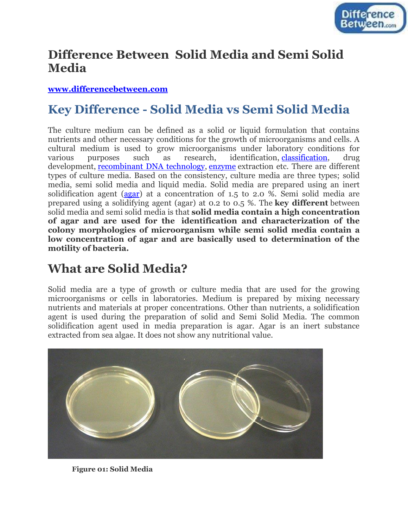

#### **Difference Between Solid Media and Semi Solid Media**

#### **[www.differencebetween.com](http://www.differencebetween.com/)**

# **Key Difference - Solid Media vs Semi Solid Media**

The culture medium can be defined as a solid or liquid formulation that contains nutrients and other necessary conditions for the growth of microorganisms and cells. A cultural medium is used to grow microorganisms under laboratory conditions for various purposes such as research, identification, [classification,](http://www.differencebetween.com/difference-between-nomenclature-and-vs-classification/) drug development, [recombinant DNA technology,](http://www.differencebetween.com/difference-between-genetic-engineering-and-recombinant-dna-vs-technology/#ef) [enzyme](http://www.differencebetween.com/difference-between-enzyme-and-vs-hormone/) extraction etc. There are different types of culture media. Based on the consistency, culture media are three types; solid media, semi solid media and liquid media. Solid media are prepared using an inert solidification agent [\(agar\)](http://www.differencebetween.com/difference-between-agar-and-vs-agarose/) at a concentration of 1.5 to 2.0 %. Semi solid media are prepared using a solidifying agent (agar) at 0.2 to 0.5 %. The **key different** between solid media and semi solid media is that **solid media contain a high concentration of agar and are used for the identification and characterization of the colony morphologies of microorganism while semi solid media contain a low concentration of agar and are basically used to determination of the motility of bacteria.**

## **What are Solid Media?**

Solid media are a type of growth or culture media that are used for the growing microorganisms or cells in laboratories. Medium is prepared by mixing necessary nutrients and materials at proper concentrations. Other than nutrients, a solidification agent is used during the preparation of solid and Semi Solid Media. The common solidification agent used in media preparation is agar. Agar is an inert substance extracted from sea algae. It does not show any nutritional value.



**Figure 01: Solid Media**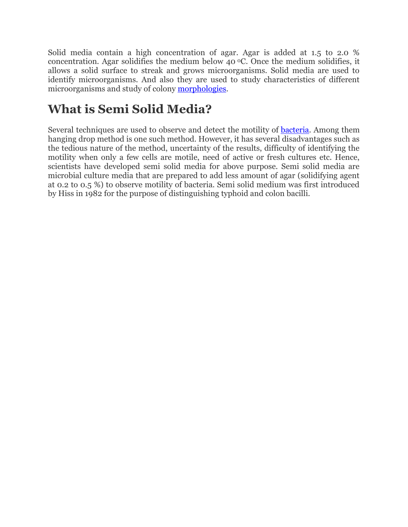Solid media contain a high concentration of agar. Agar is added at 1.5 to 2.0 % concentration. Agar solidifies the medium below 40  $\degree$ C. Once the medium solidifies, it allows a solid surface to streak and grows microorganisms. Solid media are used to identify microorganisms. And also they are used to study characteristics of different microorganisms and study of colony [morphologies.](http://www.differencebetween.com/difference-between-phonology-and-vs-morphology/)

## **What is Semi Solid Media?**

Several techniques are used to observe and detect the motility of [bacteria.](http://www.differencebetween.com/difference-between-mycoplasma-and-vs-bacteria/#ef) Among them hanging drop method is one such method. However, it has several disadvantages such as the tedious nature of the method, uncertainty of the results, difficulty of identifying the motility when only a few cells are motile, need of active or fresh cultures etc. Hence, scientists have developed semi solid media for above purpose. Semi solid media are microbial culture media that are prepared to add less amount of agar (solidifying agent at 0.2 to 0.5 %) to observe motility of bacteria. Semi solid medium was first introduced by Hiss in 1982 for the purpose of distinguishing typhoid and colon bacilli.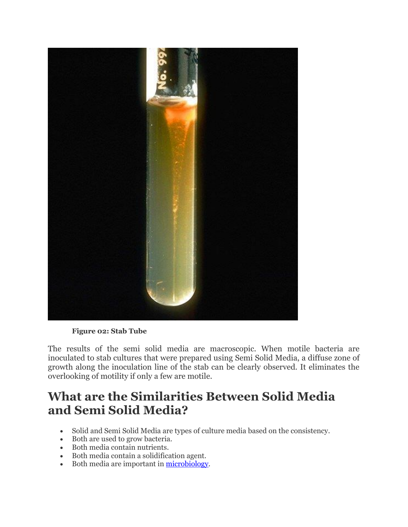

**Figure 02: Stab Tube**

The results of the semi solid media are macroscopic. When motile bacteria are inoculated to stab cultures that were prepared using Semi Solid Media, a diffuse zone of growth along the inoculation line of the stab can be clearly observed. It eliminates the overlooking of motility if only a few are motile.

### **What are the Similarities Between Solid Media and Semi Solid Media?**

- Solid and Semi Solid Media are types of culture media based on the consistency.
- Both are used to grow bacteria.
- Both media contain nutrients.
- Both media contain a solidification agent.
- Both media are important in [microbiology.](http://www.differencebetween.com/difference-between-microbiology-and-vs-molecular-biology/)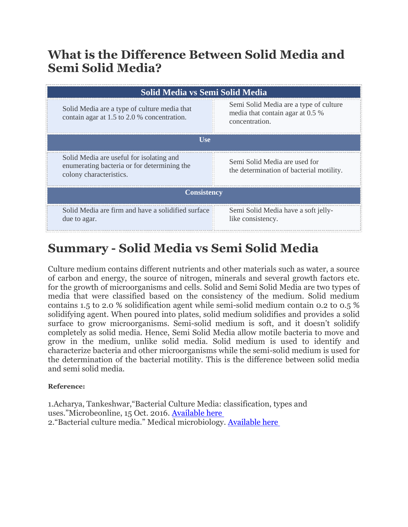## **What is the Difference Between Solid Media and Semi Solid Media?**

| Solid Media vs Semi Solid Media                                                                                    |                                                                                              |
|--------------------------------------------------------------------------------------------------------------------|----------------------------------------------------------------------------------------------|
| Solid Media are a type of culture media that<br>contain agar at 1.5 to 2.0 % concentration.                        | Semi Solid Media are a type of culture<br>media that contain agar at 0.5 %<br>concentration. |
| U <sub>se</sub>                                                                                                    |                                                                                              |
| Solid Media are useful for isolating and<br>enumerating bacteria or for determining the<br>colony characteristics. | Semi Solid Media are used for<br>the determination of bacterial motility.                    |
| <b>Consistency</b>                                                                                                 |                                                                                              |
| Solid Media are firm and have a solidified surface<br>due to agar.                                                 | Semi Solid Media have a soft jelly-<br>like consistency.                                     |

# **Summary - Solid Media vs Semi Solid Media**

Culture medium contains different nutrients and other materials such as water, a source of carbon and energy, the source of nitrogen, minerals and several growth factors etc. for the growth of microorganisms and cells. Solid and Semi Solid Media are two types of media that were classified based on the consistency of the medium. Solid medium contains 1.5 to 2.0 % solidification agent while semi-solid medium contain 0.2 to 0.5 % solidifying agent. When poured into plates, solid medium solidifies and provides a solid surface to grow microorganisms. Semi-solid medium is soft, and it doesn't solidify completely as solid media. Hence, Semi Solid Media allow motile bacteria to move and grow in the medium, unlike solid media. Solid medium is used to identify and characterize bacteria and other microorganisms while the semi-solid medium is used for the determination of the bacterial motility. This is the difference between solid media and semi solid media.

#### **Reference:**

1.Acharya, Tankeshwar,"Bacterial Culture Media: classification, types and uses."Microbeonline, 15 Oct. 2016. [Available here](http://microbeonline.com/types-of-bacteriological-culture-medium/) 2."Bacterial culture media." Medical microbiology. [Available here](http://medimicro.blogspot.com/2008/12/bacterial-culture-media.html)